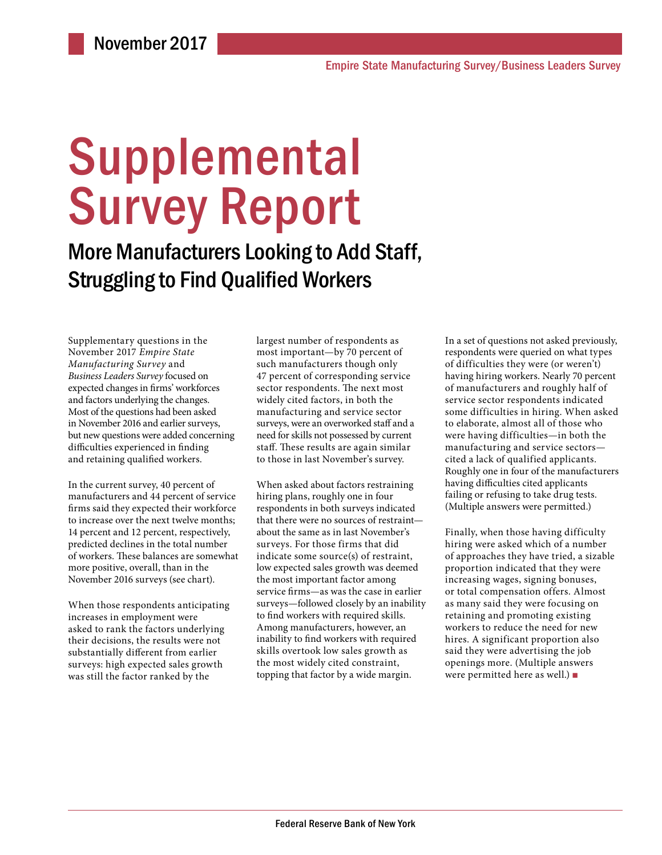# Supplemental Survey Report

More Manufacturers Looking to Add Staff, Struggling to Find Qualified Workers

Supplementary questions in the November 2017 *Empire State Manufacturing Survey* and *Business Leaders Survey* focused on expected changes in firms' workforces and factors underlying the changes. Most of the questions had been asked in November 2016 and earlier surveys, but new questions were added concerning difficulties experienced in finding and retaining qualified workers.

In the current survey, 40 percent of manufacturers and 44 percent of service firms said they expected their workforce to increase over the next twelve months; 14 percent and 12 percent, respectively, predicted declines in the total number of workers. These balances are somewhat more positive, overall, than in the November 2016 surveys (see chart).

When those respondents anticipating increases in employment were asked to rank the factors underlying their decisions, the results were not substantially different from earlier surveys: high expected sales growth was still the factor ranked by the

largest number of respondents as most important—by 70 percent of such manufacturers though only 47 percent of corresponding service sector respondents. The next most widely cited factors, in both the manufacturing and service sector surveys, were an overworked staff and a need for skills not possessed by current staff. These results are again similar to those in last November's survey.

When asked about factors restraining hiring plans, roughly one in four respondents in both surveys indicated that there were no sources of restraint about the same as in last November's surveys. For those firms that did indicate some source(s) of restraint, low expected sales growth was deemed the most important factor among service firms—as was the case in earlier surveys—followed closely by an inability to find workers with required skills. Among manufacturers, however, an inability to find workers with required skills overtook low sales growth as the most widely cited constraint, topping that factor by a wide margin.

In a set of questions not asked previously, respondents were queried on what types of difficulties they were (or weren't) having hiring workers. Nearly 70 percent of manufacturers and roughly half of service sector respondents indicated some difficulties in hiring. When asked to elaborate, almost all of those who were having difficulties—in both the manufacturing and service sectors cited a lack of qualified applicants. Roughly one in four of the manufacturers having difficulties cited applicants failing or refusing to take drug tests. (Multiple answers were permitted.)

Finally, when those having difficulty hiring were asked which of a number of approaches they have tried, a sizable proportion indicated that they were increasing wages, signing bonuses, or total compensation offers. Almost as many said they were focusing on retaining and promoting existing workers to reduce the need for new hires. A significant proportion also said they were advertising the job openings more. (Multiple answers were permitted here as well.) ■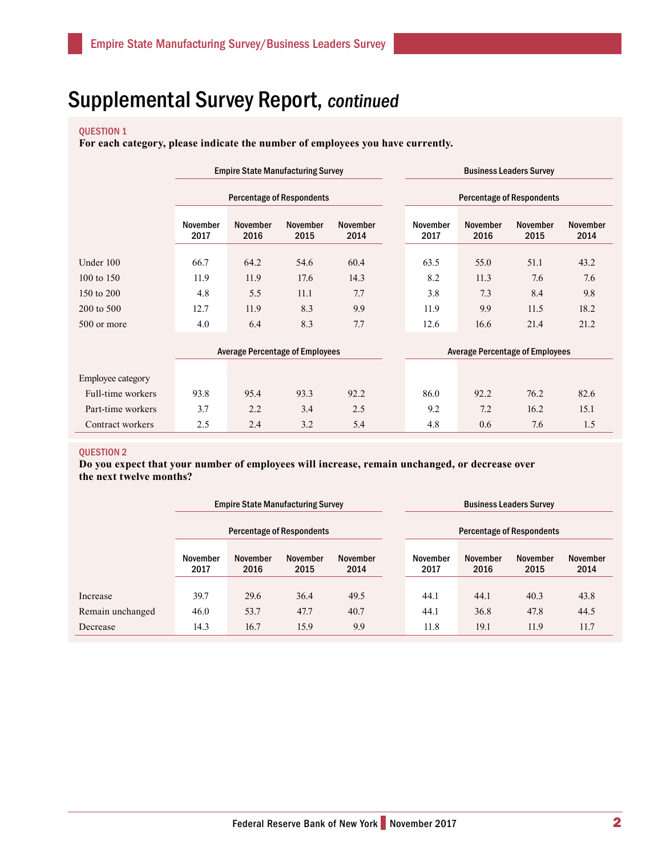### QUESTION 1

**For each category, please indicate the number of employees you have currently.**

|                   | <b>Empire State Manufacturing Survey</b> |                                        |                         |                         | <b>Business Leaders Survey</b><br><b>Percentage of Respondents</b> |                                        |                         |                         |                         |
|-------------------|------------------------------------------|----------------------------------------|-------------------------|-------------------------|--------------------------------------------------------------------|----------------------------------------|-------------------------|-------------------------|-------------------------|
|                   | <b>Percentage of Respondents</b>         |                                        |                         |                         |                                                                    |                                        |                         |                         |                         |
|                   | November<br>2017                         | November<br>2016                       | <b>November</b><br>2015 | <b>November</b><br>2014 |                                                                    | November<br>2017                       | <b>November</b><br>2016 | <b>November</b><br>2015 | <b>November</b><br>2014 |
| Under 100         | 66.7                                     | 64.2                                   | 54.6                    | 60.4                    |                                                                    | 63.5                                   | 55.0                    | 51.1                    | 43.2                    |
| 100 to 150        | 11.9                                     | 11.9                                   | 17.6                    | 14.3                    |                                                                    | 8.2                                    | 11.3                    | 7.6                     | 7.6                     |
| 150 to 200        | 4.8                                      | 5.5                                    | 11.1                    | 7.7                     |                                                                    | 3.8                                    | 7.3                     | 8.4                     | 9.8                     |
| 200 to 500        | 12.7                                     | 11.9                                   | 8.3                     | 9.9                     |                                                                    | 11.9                                   | 9.9                     | 11.5                    | 18.2                    |
| 500 or more       | 4.0                                      | 6.4                                    | 8.3                     | 7.7                     |                                                                    | 12.6                                   | 16.6                    | 21.4                    | 21.2                    |
|                   |                                          | <b>Average Percentage of Employees</b> |                         |                         |                                                                    | <b>Average Percentage of Employees</b> |                         |                         |                         |
| Employee category |                                          |                                        |                         |                         |                                                                    |                                        |                         |                         |                         |
| Full-time workers | 93.8                                     | 95.4                                   | 93.3                    | 92.2                    |                                                                    | 86.0                                   | 92.2                    | 76.2                    | 82.6                    |
| Part-time workers | 3.7                                      | 2.2                                    | 3.4                     | 2.5                     |                                                                    | 9.2                                    | 7.2                     | 16.2                    | 15.1                    |

Contract workers 2.5 2.4 3.2 5.4 4.8 0.6 7.6 1.5

#### QUESTION 2

**Do you expect that your number of employees will increase, remain unchanged, or decrease over the next twelve months?**

|                  | <b>Empire State Manufacturing Survey</b> |                  |                  |                  | <b>Business Leaders Survey</b>   |                  |                  |                  |  |
|------------------|------------------------------------------|------------------|------------------|------------------|----------------------------------|------------------|------------------|------------------|--|
|                  | <b>Percentage of Respondents</b>         |                  |                  |                  | <b>Percentage of Respondents</b> |                  |                  |                  |  |
|                  | November<br>2017                         | November<br>2016 | November<br>2015 | November<br>2014 | November<br>2017                 | November<br>2016 | November<br>2015 | November<br>2014 |  |
| Increase         | 39.7                                     | 29.6             | 36.4             | 49.5             | 44.1                             | 44.1             | 40.3             | 43.8             |  |
| Remain unchanged | 46.0                                     | 53.7             | 47.7             | 40.7             | 44.1                             | 36.8             | 47.8             | 44.5             |  |
| Decrease         | 14.3                                     | 16.7             | 15.9             | 9.9              | 11.8                             | 19.1             | 11.9             | 11.7             |  |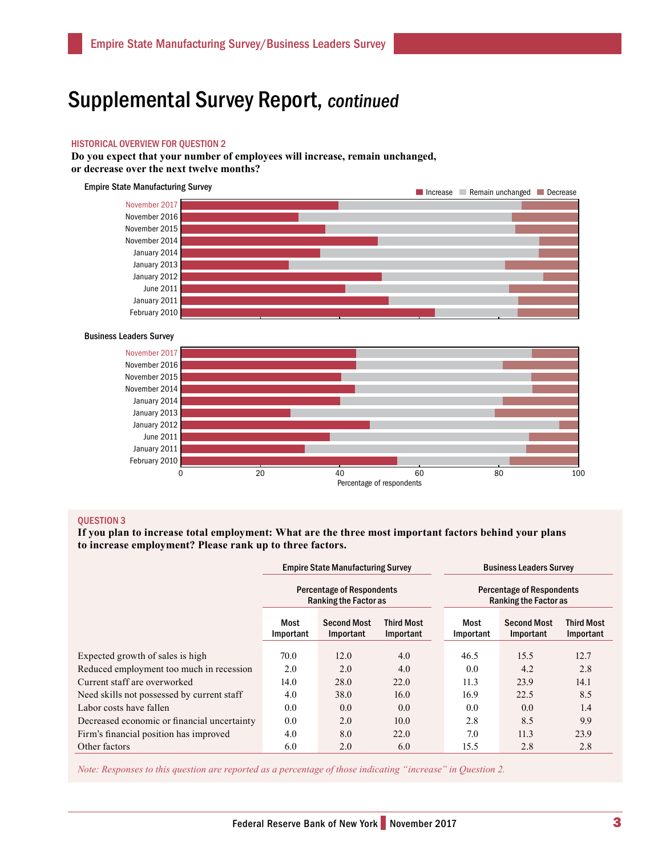#### HISTORICAL OVERVIEW FOR QUESTION 2

**Do you expect that your number of employees will increase, remain unchanged, or decrease over the next twelve months?**





#### QUESTION 3

**If you plan to increase total employment: What are the three most important factors behind your plans to increase employment? Please rank up to three factors.**

|                                             |                   | <b>Empire State Manufacturing Survey</b>                  |                                | <b>Business Leaders Survey</b>                                   |                                 |                                |  |
|---------------------------------------------|-------------------|-----------------------------------------------------------|--------------------------------|------------------------------------------------------------------|---------------------------------|--------------------------------|--|
|                                             |                   | <b>Percentage of Respondents</b><br>Ranking the Factor as |                                | <b>Percentage of Respondents</b><br><b>Ranking the Factor as</b> |                                 |                                |  |
|                                             | Most<br>Important | <b>Second Most</b><br>Important                           | <b>Third Most</b><br>Important | Most<br>Important                                                | <b>Second Most</b><br>Important | <b>Third Most</b><br>Important |  |
| Expected growth of sales is high            | 70.0              | 12.0                                                      | 4.0                            | 46.5                                                             | 15.5                            | 12.7                           |  |
| Reduced employment too much in recession    | 2.0               | 2.0                                                       | 4.0                            | 0.0                                                              | 4.2                             | 2.8                            |  |
| Current staff are overworked                | 14.0              | 28.0                                                      | 22.0                           | 11.3                                                             | 23.9                            | 14.1                           |  |
| Need skills not possessed by current staff  | 4.0               | 38.0                                                      | 16.0                           | 16.9                                                             | 22.5                            | 8.5                            |  |
| Labor costs have fallen                     | 0.0               | 0.0                                                       | 0.0                            | 0.0                                                              | 0.0                             | 1.4                            |  |
| Decreased economic or financial uncertainty | 0.0               | 2.0                                                       | 10.0                           | 2.8                                                              | 8.5                             | 9.9                            |  |
| Firm's financial position has improved      | 4.0               | 8.0                                                       | 22.0                           | 7.0                                                              | 11.3                            | 23.9                           |  |
| Other factors                               | 6.0               | 2.0                                                       | 6.0                            | 15.5                                                             | 2.8                             | 2.8                            |  |

*Note: Responses to this question are reported as a percentage of those indicating "increase" in Question 2.*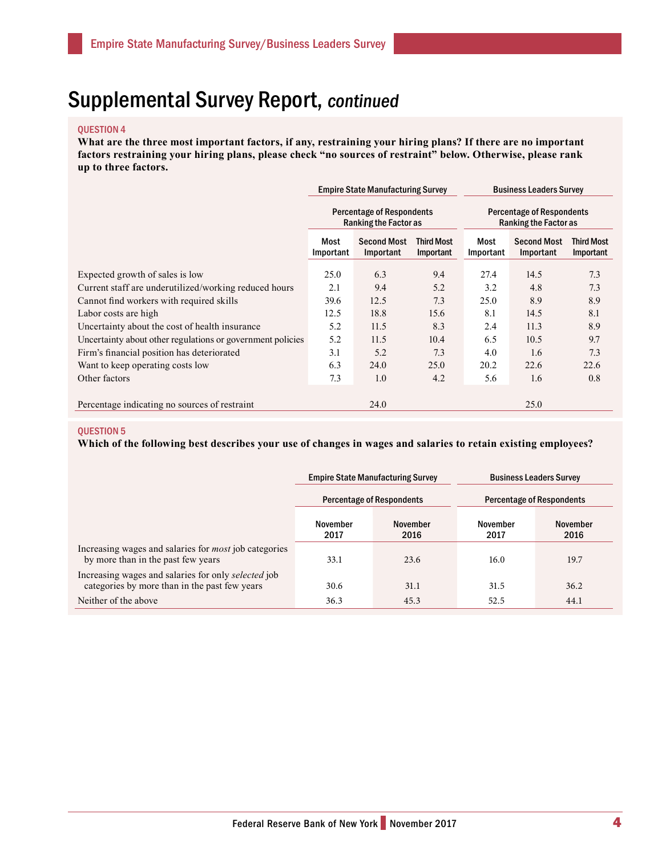#### QUESTION 4

**What are the three most important factors, if any, restraining your hiring plans? If there are no important factors restraining your hiring plans, please check "no sources of restraint" below. Otherwise, please rank up to three factors.**

|                                                            |                                                                  | <b>Empire State Manufacturing Survey</b> |                         | <b>Business Leaders Survey</b>                                   |                                 |                                |
|------------------------------------------------------------|------------------------------------------------------------------|------------------------------------------|-------------------------|------------------------------------------------------------------|---------------------------------|--------------------------------|
|                                                            | <b>Percentage of Respondents</b><br><b>Ranking the Factor as</b> |                                          |                         | <b>Percentage of Respondents</b><br><b>Ranking the Factor as</b> |                                 |                                |
|                                                            | Most<br>Important                                                | <b>Second Most</b><br>Important          | Third Most<br>Important | Most<br>Important                                                | <b>Second Most</b><br>Important | <b>Third Most</b><br>Important |
| Expected growth of sales is low                            | 25.0                                                             | 6.3                                      | 9.4                     | 27.4                                                             | 14.5                            | 7.3                            |
| Current staff are underutilized/working reduced hours      | 2.1                                                              | 9.4                                      | 5.2                     | 3.2                                                              | 4.8                             | 7.3                            |
| Cannot find workers with required skills                   | 39.6                                                             | 12.5                                     | 7.3                     | 25.0                                                             | 8.9                             | 8.9                            |
| Labor costs are high                                       | 12.5                                                             | 18.8                                     | 15.6                    | 8.1                                                              | 14.5                            | 8.1                            |
| Uncertainty about the cost of health insurance             | 5.2                                                              | 11.5                                     | 8.3                     | 2.4                                                              | 11.3                            | 8.9                            |
| Uncertainty about other regulations or government policies | 5.2                                                              | 11.5                                     | 10.4                    | 6.5                                                              | 10.5                            | 9.7                            |
| Firm's financial position has deteriorated                 | 3.1                                                              | 5.2                                      | 7.3                     | 4.0                                                              | 1.6                             | 7.3                            |
| Want to keep operating costs low                           | 6.3                                                              | 24.0                                     | 25.0                    | 20.2                                                             | 22.6                            | 22.6                           |
| Other factors                                              | 7.3                                                              | 1.0                                      | 4.2                     | 5.6                                                              | 1.6                             | 0.8                            |
| Percentage indicating no sources of restraint              |                                                                  | 24.0                                     |                         |                                                                  | 25.0                            |                                |

#### QUESTION 5

**Which of the following best describes your use of changes in wages and salaries to retain existing employees?**

|                                                                                                      |                  | <b>Empire State Manufacturing Survey</b> | <b>Business Leaders Survey</b>   |                  |  |
|------------------------------------------------------------------------------------------------------|------------------|------------------------------------------|----------------------------------|------------------|--|
|                                                                                                      |                  | <b>Percentage of Respondents</b>         | <b>Percentage of Respondents</b> |                  |  |
|                                                                                                      | November<br>2017 | <b>November</b><br>2016                  | November<br>2017                 | November<br>2016 |  |
| Increasing wages and salaries for <i>most</i> job categories<br>by more than in the past few years   | 33.1             | 23.6                                     | 16.0                             | 19.7             |  |
| Increasing wages and salaries for only selected job<br>categories by more than in the past few years | 30.6             | 31.1                                     | 31.5                             | 36.2             |  |
| Neither of the above                                                                                 | 36.3             | 45.3                                     | 52.5                             | 44.1             |  |